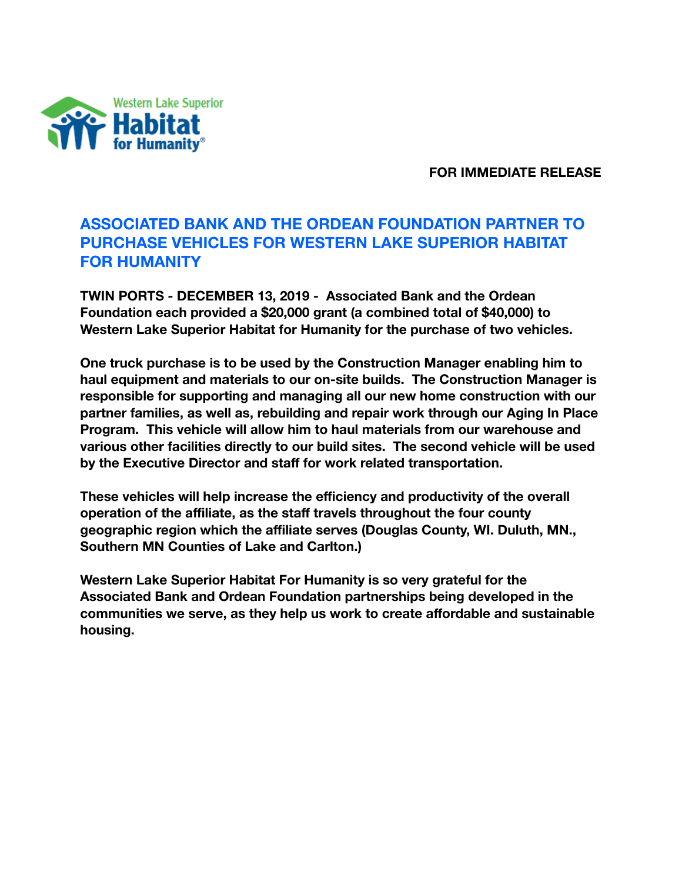

**FOR IMMEDIATE RELEASE** 

## **ASSOCIATED BANK AND THE ORDEAN FOUNDATION PARTNER TO PURCHASE VEHICLES FOR WESTERN LAKE SUPERIOR HABITAT FOR HUMANITY**

**TWIN PORTS - DECEMBER 13, 2019 - Associated Bank and the Ordean Foundation each provided a \$20,000 grant (a combined total of \$40,000) to Western Lake Superior Habitat for Humanity for the purchase of two vehicles.** 

**One truck purchase is to be used by the Construction Manager enabling him to haul equipment and materials to our on-site builds. The Construction Manager is responsible for supporting and managing all our new home construction with our partner families, as well as, rebuilding and repair work through our Aging In Place Program. This vehicle will allow him to haul materials from our warehouse and various other facilities directly to our build sites. The second vehicle will be used by the Executive Director and staff for work related transportation.** 

**These vehicles will help increase the efficiency and productivity of the overall operation of the affiliate, as the staff travels throughout the four county geographic region which the affiliate serves (Douglas County, WI. Duluth, MN., Southern MN Counties of Lake and Carlton.)** 

**Western Lake Superior Habitat For Humanity is so very grateful for the Associated Bank and Ordean Foundation partnerships being developed in the communities we serve, as they help us work to create affordable and sustainable housing.**